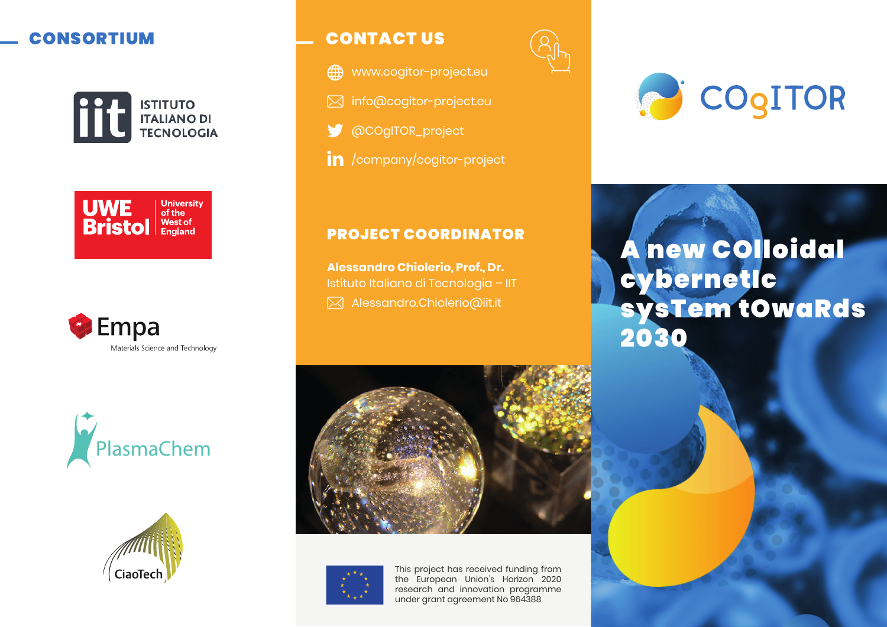## CONSORTIUM

**ISTITUTO<br>ITALIANO DI<br>TECNOLOGIA** 









# CONTACT US

www.cogitor-project.eu

- $\boxtimes$  info@cogitor-project.eu
- @COgITOR\_project V
- in /company/cogitor-project



#### PROJECT COORDINATOR

 $\boxtimes$  Alessandro.Chiolerio@iit.it **Alessandro Chiolerio, Prof., Dr.** Istituto Italiano di Tecnologia – IIT





This project has received funding from the European Union's Horizon 2020 research and innovation programme under grant agreement No 964388

# A new COlloidal cybernetIc sysTem tOwaRds 2030